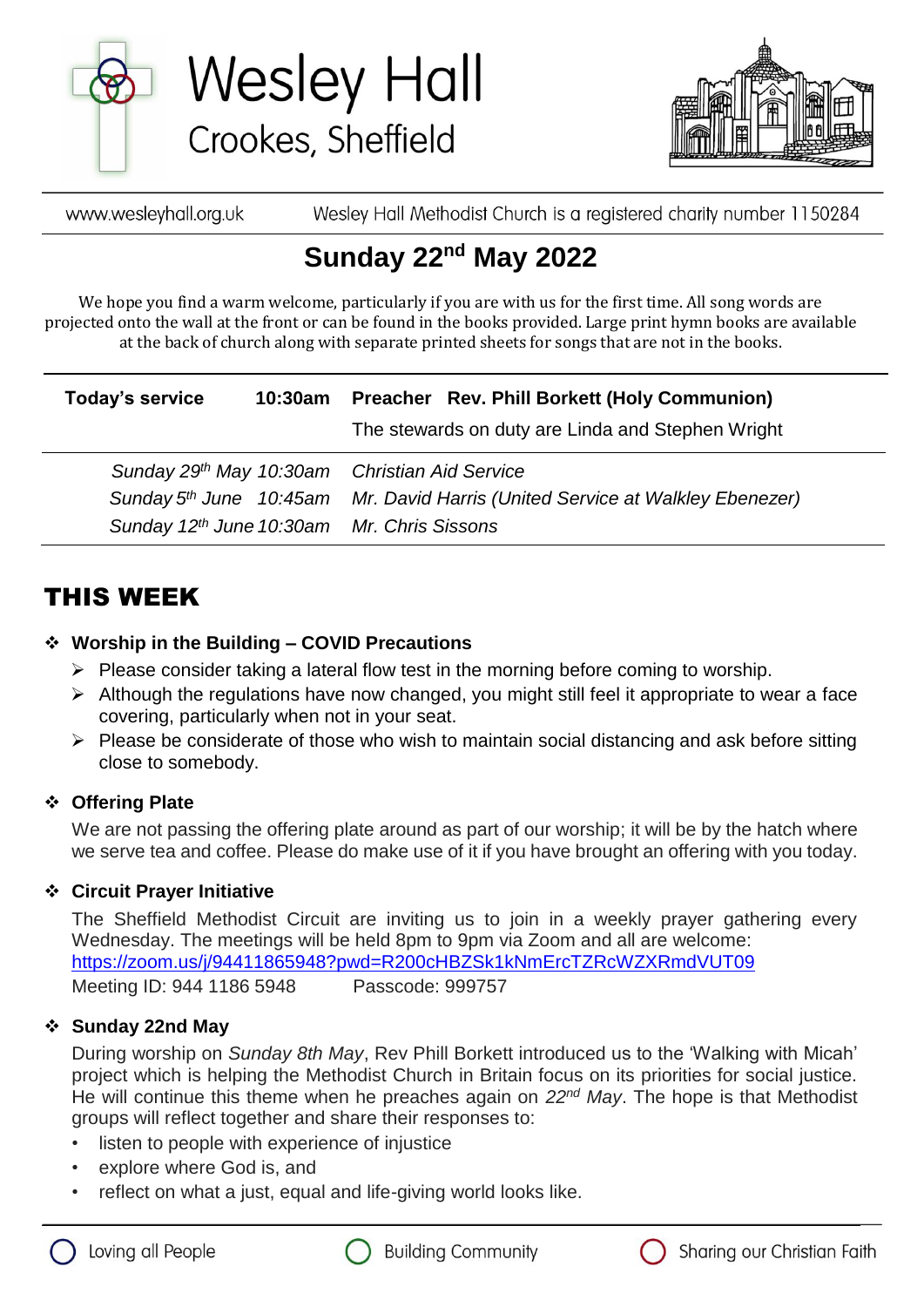

**Wesley Hall** Crookes, Sheffield



Wesley Hall Methodist Church is a registered charity number 1150284 www.wesleyhall.org.uk

# **Sunday 22nd May 2022**

We hope you find a warm welcome, particularly if you are with us for the first time. All song words are projected onto the wall at the front or can be found in the books provided. Large print hymn books are available at the back of church along with separate printed sheets for songs that are not in the books.

| Today's service                               |  | 10:30am Preacher Rev. Phill Borkett (Holy Communion)                                      |
|-----------------------------------------------|--|-------------------------------------------------------------------------------------------|
|                                               |  | The stewards on duty are Linda and Stephen Wright                                         |
| Sunday 29th May 10:30am Christian Aid Service |  |                                                                                           |
|                                               |  | Sunday 5 <sup>th</sup> June 10:45am Mr. David Harris (United Service at Walkley Ebenezer) |
| Sunday 12th June 10:30am Mr. Chris Sissons    |  |                                                                                           |

# THIS WEEK

#### **Worship in the Building – COVID Precautions**

- $\triangleright$  Please consider taking a lateral flow test in the morning before coming to worship.
- $\triangleright$  Although the regulations have now changed, you might still feel it appropriate to wear a face covering, particularly when not in your seat.
- $\triangleright$  Please be considerate of those who wish to maintain social distancing and ask before sitting close to somebody.

#### **Offering Plate**

We are not passing the offering plate around as part of our worship; it will be by the hatch where we serve tea and coffee. Please do make use of it if you have brought an offering with you today.

#### **Circuit Prayer Initiative**

The Sheffield Methodist Circuit are inviting us to join in a weekly prayer gathering every Wednesday. The meetings will be held 8pm to 9pm via Zoom and all are welcome: [https://zoom.us/j/94411865948?pwd=R200cHBZSk1kNmErcTZRcWZXRmdVUT09](about:blank) Meeting ID: 944 1186 5948 Passcode: 999757

#### **Sunday 22nd May**

During worship on *Sunday 8th May*, Rev Phill Borkett introduced us to the 'Walking with Micah' project which is helping the Methodist Church in Britain focus on its priorities for social justice. He will continue this theme when he preaches again on *22nd May*. The hope is that Methodist groups will reflect together and share their responses to:

- listen to people with experience of injustice
- explore where God is, and
- reflect on what a just, equal and life-giving world looks like.





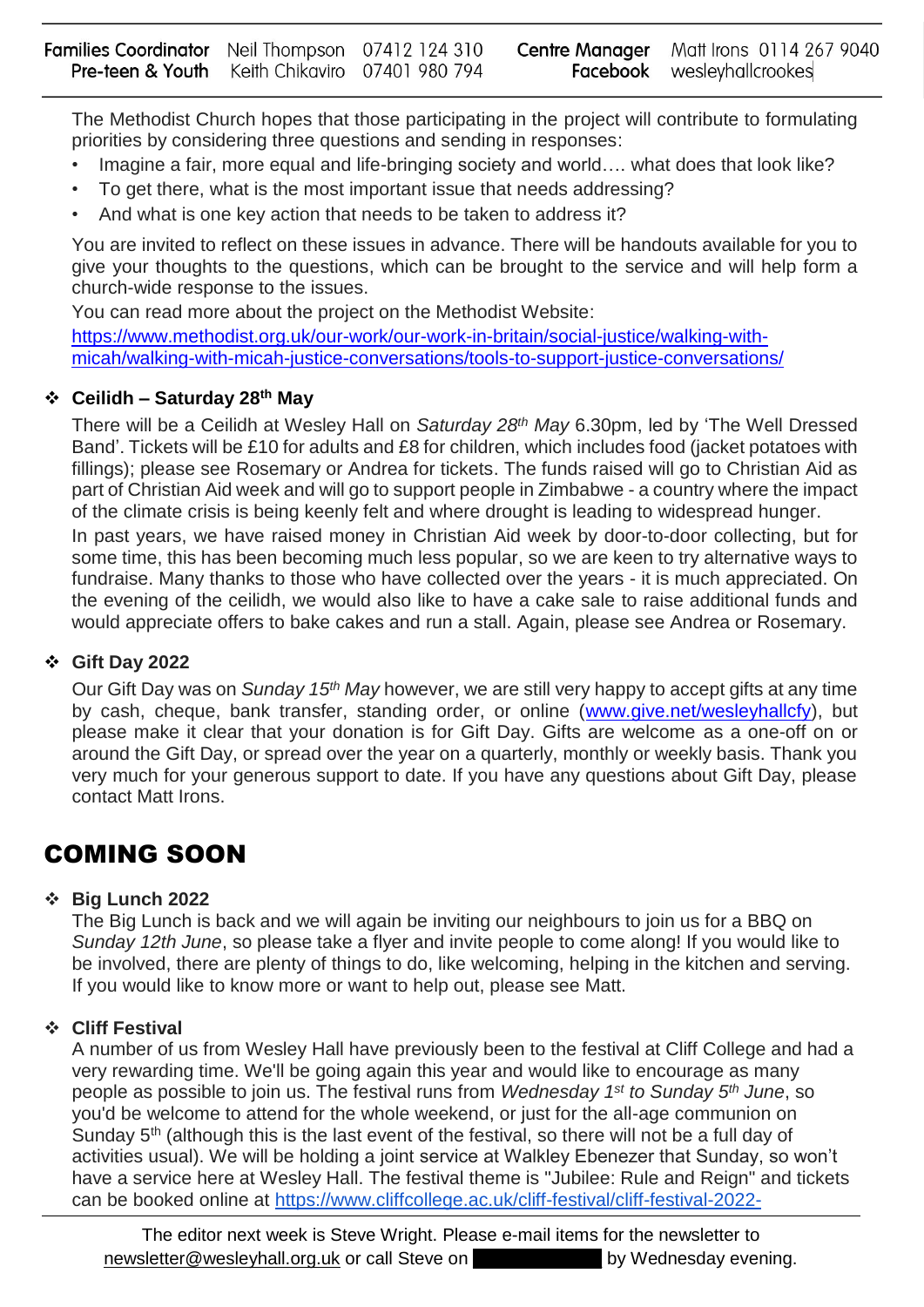The Methodist Church hopes that those participating in the project will contribute to formulating priorities by considering three questions and sending in responses:

- Imagine a fair, more equal and life-bringing society and world..., what does that look like?
- To get there, what is the most important issue that needs addressing?
- And what is one key action that needs to be taken to address it?

You are invited to reflect on these issues in advance. There will be handouts available for you to give your thoughts to the questions, which can be brought to the service and will help form a church-wide response to the issues.

You can read more about the project on the Methodist Website:

[https://www.methodist.org.uk/our-work/our-work-in-britain/social-justice/walking-with](https://www.methodist.org.uk/our-work/our-work-in-britain/social-justice/walking-with-micah/walking-with-micah-justice-conversations/tools-to-support-justice-conversations/)[micah/walking-with-micah-justice-conversations/tools-to-support-justice-conversations/](https://www.methodist.org.uk/our-work/our-work-in-britain/social-justice/walking-with-micah/walking-with-micah-justice-conversations/tools-to-support-justice-conversations/)

#### **Ceilidh – Saturday 28th May**

There will be a Ceilidh at Wesley Hall on *Saturday 28th May* 6.30pm, led by 'The Well Dressed Band'. Tickets will be £10 for adults and £8 for children, which includes food (jacket potatoes with fillings); please see Rosemary or Andrea for tickets. The funds raised will go to Christian Aid as part of Christian Aid week and will go to support people in Zimbabwe - a country where the impact of the climate crisis is being keenly felt and where drought is leading to widespread hunger.

In past years, we have raised money in Christian Aid week by door-to-door collecting, but for some time, this has been becoming much less popular, so we are keen to try alternative ways to fundraise. Many thanks to those who have collected over the years - it is much appreciated. On the evening of the ceilidh, we would also like to have a cake sale to raise additional funds and would appreciate offers to bake cakes and run a stall. Again, please see Andrea or Rosemary.

#### **Gift Day 2022**

Our Gift Day was on *Sunday 15th May* however, we are still very happy to accept gifts at any time by cash, cheque, bank transfer, standing order, or online [\(www.give.net/wesleyhallcfy\)](about:blank), but please make it clear that your donation is for Gift Day. Gifts are welcome as a one-off on or around the Gift Day, or spread over the year on a quarterly, monthly or weekly basis. Thank you very much for your generous support to date. If you have any questions about Gift Day, please contact Matt Irons.

### COMING SOON

#### **Big Lunch 2022**

The Big Lunch is back and we will again be inviting our neighbours to join us for a BBQ on *Sunday 12th June*, so please take a flyer and invite people to come along! If you would like to be involved, there are plenty of things to do, like welcoming, helping in the kitchen and serving. If you would like to know more or want to help out, please see Matt.

#### **Cliff Festival**

A number of us from Wesley Hall have previously been to the festival at Cliff College and had a very rewarding time. We'll be going again this year and would like to encourage as many people as possible to join us. The festival runs from *Wednesday 1 st to Sunday 5th June*, so you'd be welcome to attend for the whole weekend, or just for the all-age communion on Sunday 5<sup>th</sup> (although this is the last event of the festival, so there will not be a full day of activities usual). We will be holding a joint service at Walkley Ebenezer that Sunday, so won't have a service here at Wesley Hall. The festival theme is "Jubilee: Rule and Reign" and tickets can be booked online at [https://www.cliffcollege.ac.uk/cliff-festival/cliff-festival-2022-](https://www.cliffcollege.ac.uk/cliff-festival/cliff-festival-2022-jubilee/booking-2022)

The editor next week is Steve Wright. Please e-mail items for the newsletter to [newsletter@wesleyhall.org.uk](about:blank) or call Steve on example by Wednesday evening.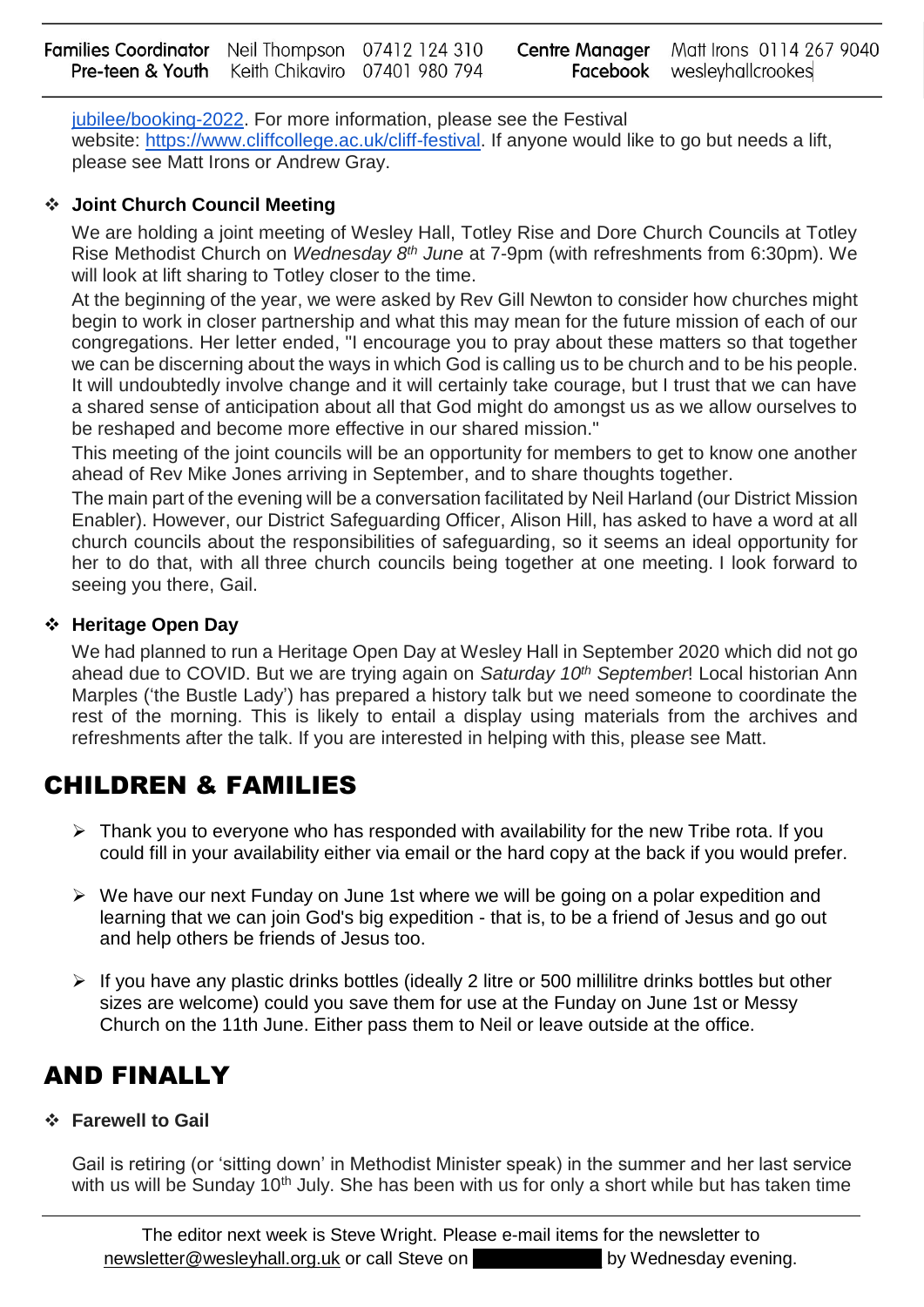[jubilee/booking-2022.](https://www.cliffcollege.ac.uk/cliff-festival/cliff-festival-2022-jubilee/booking-2022) For more information, please see the Festival website: [https://www.cliffcollege.ac.uk/cliff-festival.](https://www.cliffcollege.ac.uk/cliff-festival) If anyone would like to go but needs a lift, please see Matt Irons or Andrew Gray.

#### **Joint Church Council Meeting**

We are holding a joint meeting of Wesley Hall, Totley Rise and Dore Church Councils at Totley Rise Methodist Church on *Wednesday 8th June* at 7-9pm (with refreshments from 6:30pm). We will look at lift sharing to Totley closer to the time.

At the beginning of the year, we were asked by Rev Gill Newton to consider how churches might begin to work in closer partnership and what this may mean for the future mission of each of our congregations. Her letter ended, "I encourage you to pray about these matters so that together we can be discerning about the ways in which God is calling us to be church and to be his people. It will undoubtedly involve change and it will certainly take courage, but I trust that we can have a shared sense of anticipation about all that God might do amongst us as we allow ourselves to be reshaped and become more effective in our shared mission."

This meeting of the joint councils will be an opportunity for members to get to know one another ahead of Rev Mike Jones arriving in September, and to share thoughts together.

The main part of the evening will be a conversation facilitated by Neil Harland (our District Mission Enabler). However, our District Safeguarding Officer, Alison Hill, has asked to have a word at all church councils about the responsibilities of safeguarding, so it seems an ideal opportunity for her to do that, with all three church councils being together at one meeting. I look forward to seeing you there, Gail.

#### **Heritage Open Day**

We had planned to run a Heritage Open Day at Wesley Hall in September 2020 which did not go ahead due to COVID. But we are trying again on *Saturday 10th September*! Local historian Ann Marples ('the Bustle Lady') has prepared a history talk but we need someone to coordinate the rest of the morning. This is likely to entail a display using materials from the archives and refreshments after the talk. If you are interested in helping with this, please see Matt.

### CHILDREN & FAMILIES

- $\triangleright$  Thank you to everyone who has responded with availability for the new Tribe rota. If you could fill in your availability either via email or the hard copy at the back if you would prefer.
- $\triangleright$  We have our next Funday on June 1st where we will be going on a polar expedition and learning that we can join God's big expedition - that is, to be a friend of Jesus and go out and help others be friends of Jesus too.
- $\triangleright$  If you have any plastic drinks bottles (ideally 2 litre or 500 millilitre drinks bottles but other sizes are welcome) could you save them for use at the Funday on June 1st or Messy Church on the 11th June. Either pass them to Neil or leave outside at the office.

## AND FINALLY

#### **Farewell to Gail**

Gail is retiring (or 'sitting down' in Methodist Minister speak) in the summer and her last service with us will be Sunday  $10<sup>th</sup>$  July. She has been with us for only a short while but has taken time